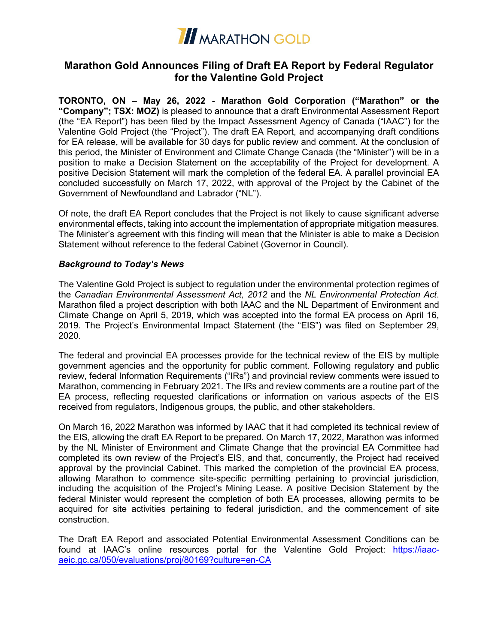

# **Marathon Gold Announces Filing of Draft EA Report by Federal Regulator for the Valentine Gold Project**

**TORONTO, ON – May 26, 2022 - Marathon Gold Corporation ("Marathon" or the "Company"; TSX: MOZ)** is pleased to announce that a draft Environmental Assessment Report (the "EA Report") has been filed by the Impact Assessment Agency of Canada ("IAAC") for the Valentine Gold Project (the "Project"). The draft EA Report, and accompanying draft conditions for EA release, will be available for 30 days for public review and comment. At the conclusion of this period, the Minister of Environment and Climate Change Canada (the "Minister") will be in a position to make a Decision Statement on the acceptability of the Project for development. A positive Decision Statement will mark the completion of the federal EA. A parallel provincial EA concluded successfully on March 17, 2022, with approval of the Project by the Cabinet of the Government of Newfoundland and Labrador ("NL").

Of note, the draft EA Report concludes that the Project is not likely to cause significant adverse environmental effects, taking into account the implementation of appropriate mitigation measures. The Minister's agreement with this finding will mean that the Minister is able to make a Decision Statement without reference to the federal Cabinet (Governor in Council).

### *Background to Today's News*

The Valentine Gold Project is subject to regulation under the environmental protection regimes of the *Canadian Environmental Assessment Act, 2012* and the *NL Environmental Protection Act*. Marathon filed a project description with both IAAC and the NL Department of Environment and Climate Change on April 5, 2019, which was accepted into the formal EA process on April 16, 2019. The Project's Environmental Impact Statement (the "EIS") was filed on September 29, 2020.

The federal and provincial EA processes provide for the technical review of the EIS by multiple government agencies and the opportunity for public comment. Following regulatory and public review, federal Information Requirements ("IRs") and provincial review comments were issued to Marathon, commencing in February 2021. The IRs and review comments are a routine part of the EA process, reflecting requested clarifications or information on various aspects of the EIS received from regulators, Indigenous groups, the public, and other stakeholders.

On March 16, 2022 Marathon was informed by IAAC that it had completed its technical review of the EIS, allowing the draft EA Report to be prepared. On March 17, 2022, Marathon was informed by the NL Minister of Environment and Climate Change that the provincial EA Committee had completed its own review of the Project's EIS, and that, concurrently, the Project had received approval by the provincial Cabinet. This marked the completion of the provincial EA process, allowing Marathon to commence site-specific permitting pertaining to provincial jurisdiction, including the acquisition of the Project's Mining Lease. A positive Decision Statement by the federal Minister would represent the completion of both EA processes, allowing permits to be acquired for site activities pertaining to federal jurisdiction, and the commencement of site construction.

The Draft EA Report and associated Potential Environmental Assessment Conditions can be found at IAAC's online resources portal for the Valentine Gold Project: https://iaacaeic.gc.ca/050/evaluations/proj/80169?culture=en-CA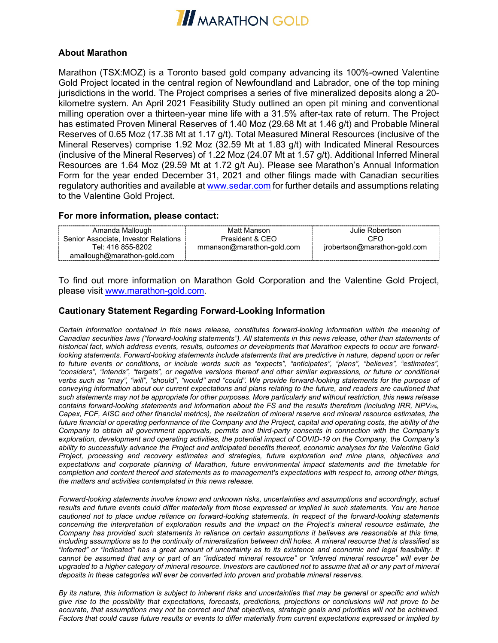

### **About Marathon**

Marathon (TSX:MOZ) is a Toronto based gold company advancing its 100%-owned Valentine Gold Project located in the central region of Newfoundland and Labrador, one of the top mining jurisdictions in the world. The Project comprises a series of five mineralized deposits along a 20 kilometre system. An April 2021 Feasibility Study outlined an open pit mining and conventional milling operation over a thirteen-year mine life with a 31.5% after-tax rate of return. The Project has estimated Proven Mineral Reserves of 1.40 Moz (29.68 Mt at 1.46 g/t) and Probable Mineral Reserves of 0.65 Moz (17.38 Mt at 1.17 g/t). Total Measured Mineral Resources (inclusive of the Mineral Reserves) comprise 1.92 Moz (32.59 Mt at 1.83 g/t) with Indicated Mineral Resources (inclusive of the Mineral Reserves) of 1.22 Moz (24.07 Mt at 1.57 g/t). Additional Inferred Mineral Resources are 1.64 Moz (29.59 Mt at 1.72 g/t Au). Please see Marathon's Annual Information Form for the year ended December 31, 2021 and other filings made with Canadian securities regulatory authorities and available a[t www.sedar.com](http://www.sedar.com/) for further details and assumptions relating to the Valentine Gold Project.

#### **For more information, please contact:**

| Amanda Mallough                      | Matt Manson               | Julie Robertson.             |
|--------------------------------------|---------------------------|------------------------------|
| Senior Associate. Investor Relations | President & CEO           | CFC                          |
| Tel: 416 855-8202                    | mmanson@marathon-gold.com | jrobertson@marathon-gold.com |
| amallough@marathon-gold.com          |                           |                              |

To find out more information on Marathon Gold Corporation and the Valentine Gold Project, please visit [www.marathon-gold.com.](http://www.marathon-gold.com/)

## **Cautionary Statement Regarding Forward-Looking Information**

*Certain information contained in this news release, constitutes forward-looking information within the meaning of Canadian securities laws ("forward-looking statements"). All statements in this news release, other than statements of historical fact, which address events, results, outcomes or developments that Marathon expects to occur are forwardlooking statements. Forward-looking statements include statements that are predictive in nature, depend upon or refer to future events or conditions, or include words such as "expects", "anticipates", "plans", "believes", "estimates", "considers", "intends", "targets", or negative versions thereof and other similar expressions, or future or conditional verbs such as "may", "will", "should", "would" and "could". We provide forward-looking statements for the purpose of conveying information about our current expectations and plans relating to the future, and readers are cautioned that such statements may not be appropriate for other purposes. More particularly and without restriction, this news release contains forward-looking statements and information about the FS and the results therefrom (including IRR, NPV5%, Capex, FCF, AISC and other financial metrics), the realization of mineral reserve and mineral resource estimates, the future financial or operating performance of the Company and the Project, capital and operating costs, the ability of the Company to obtain all government approvals, permits and third-party consents in connection with the Company's exploration, development and operating activities, the potential impact of COVID-19 on the Company, the Company's ability to successfully advance the Project and anticipated benefits thereof, economic analyses for the Valentine Gold Project, processing and recovery estimates and strategies, future exploration and mine plans, objectives and expectations and corporate planning of Marathon, future environmental impact statements and the timetable for completion and content thereof and statements as to management's expectations with respect to, among other things, the matters and activities contemplated in this news release.* 

*Forward-looking statements involve known and unknown risks, uncertainties and assumptions and accordingly, actual results and future events could differ materially from those expressed or implied in such statements. You are hence cautioned not to place undue reliance on forward-looking statements. In respect of the forward-looking statements concerning the interpretation of exploration results and the impact on the Project's mineral resource estimate, the Company has provided such statements in reliance on certain assumptions it believes are reasonable at this time, including assumptions as to the continuity of mineralization between drill holes. A mineral resource that is classified as "inferred" or "indicated" has a great amount of uncertainty as to its existence and economic and legal feasibility. It cannot be assumed that any or part of an "indicated mineral resource" or "inferred mineral resource" will ever be upgraded to a higher category of mineral resource. Investors are cautioned not to assume that all or any part of mineral deposits in these categories will ever be converted into proven and probable mineral reserves.*

*By its nature, this information is subject to inherent risks and uncertainties that may be general or specific and which give rise to the possibility that expectations, forecasts, predictions, projections or conclusions will not prove to be accurate, that assumptions may not be correct and that objectives, strategic goals and priorities will not be achieved. Factors that could cause future results or events to differ materially from current expectations expressed or implied by*